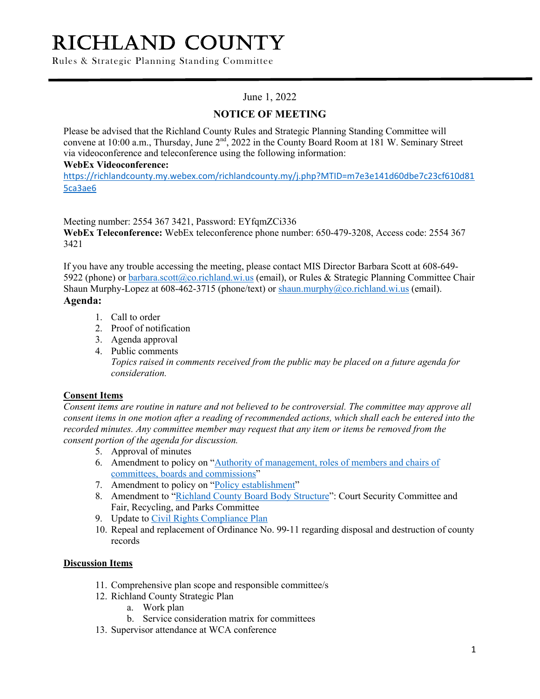# RICHLAND COUNTY

Rules & Strategic Planning Standing Committee

## June 1, 2022

## **NOTICE OF MEETING**

Please be advised that the Richland County Rules and Strategic Planning Standing Committee will convene at 10:00 a.m., Thursday, June 2<sup>nd</sup>, 2022 in the County Board Room at 181 W. Seminary Street via videoconference and teleconference using the following information:

#### **WebEx Videoconference:**

https://richlandcounty.my.webex.com/richlandcounty.my/j.php?MTID=m7e3e141d60dbe7c23cf610d81 5ca3ae6

Meeting number: 2554 367 3421, Password: EYfqmZCi336

**WebEx Teleconference:** WebEx teleconference phone number: 650-479-3208, Access code: 2554 367 3421

If you have any trouble accessing the meeting, please contact MIS Director Barbara Scott at 608-649- 5922 (phone) or barbara.scott@co.richland.wi.us (email), or Rules & Strategic Planning Committee Chair Shaun Murphy-Lopez at 608-462-3715 (phone/text) or shaun.murphy@co.richland.wi.us (email). **Agenda:**

- 1. Call to order
- 2. Proof of notification
- 3. Agenda approval
- 4. Public comments *Topics raised in comments received from the public may be placed on a future agenda for consideration.*

### **Consent Items**

*Consent items are routine in nature and not believed to be controversial. The committee may approve all consent items in one motion after a reading of recommended actions, which shall each be entered into the recorded minutes. Any committee member may request that any item or items be removed from the consent portion of the agenda for discussion.*

- 5. Approval of minutes
- 6. Amendment to policy on "Authority of management, roles of members and chairs of committees, boards and commissions"
- 7. Amendment to policy on "Policy establishment"
- 8. Amendment to "Richland County Board Body Structure": Court Security Committee and Fair, Recycling, and Parks Committee
- 9. Update to Civil Rights Compliance Plan
- 10. Repeal and replacement of Ordinance No. 99-11 regarding disposal and destruction of county records

### **Discussion Items**

- 11. Comprehensive plan scope and responsible committee/s
- 12. Richland County Strategic Plan
	- a. Work plan
	- b. Service consideration matrix for committees
- 13. Supervisor attendance at WCA conference